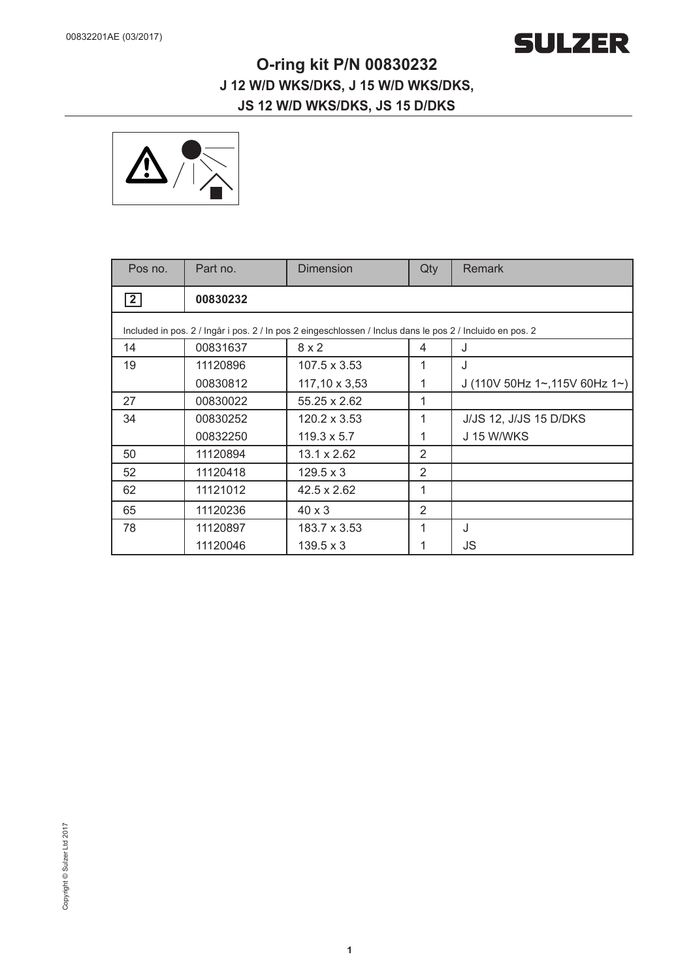

## **O-ring kit P/N 00830232 J 12 W/D WKS/DKS, J 15 W/D WKS/DKS, JS 12 W/D WKS/DKS, JS 15 D/DKS**



| Pos no.                                                                                                   | Part no. | <b>Dimension</b>   | Qty | Remark                         |
|-----------------------------------------------------------------------------------------------------------|----------|--------------------|-----|--------------------------------|
| $\vert$ 2                                                                                                 | 00830232 |                    |     |                                |
| Included in pos. 2 / Ingår i pos. 2 / In pos 2 eingeschlossen / Inclus dans le pos 2 / Incluido en pos. 2 |          |                    |     |                                |
| 14                                                                                                        | 00831637 | 8x2                | 4   | J                              |
| 19                                                                                                        | 11120896 | 107.5 x 3.53       | 1   | J                              |
|                                                                                                           | 00830812 | 117,10 x 3,53      | 1   | J (110V 50Hz 1~, 115V 60Hz 1~) |
| 27                                                                                                        | 00830022 | 55.25 x 2.62       | 1   |                                |
| 34                                                                                                        | 00830252 | 120.2 x 3.53       | 1   | <b>J/JS 12, J/JS 15 D/DKS</b>  |
|                                                                                                           | 00832250 | $119.3 \times 5.7$ | 1   | <b>J 15 W/WKS</b>              |
| 50                                                                                                        | 11120894 | 13.1 x 2.62        | 2   |                                |
| 52                                                                                                        | 11120418 | $129.5 \times 3$   | 2   |                                |
| 62                                                                                                        | 11121012 | $42.5 \times 2.62$ | 1   |                                |
| 65                                                                                                        | 11120236 | $40 \times 3$      | 2   |                                |
| 78                                                                                                        | 11120897 | 183.7 x 3.53       | 1   | J                              |
|                                                                                                           | 11120046 | $139.5 \times 3$   |     | JS                             |